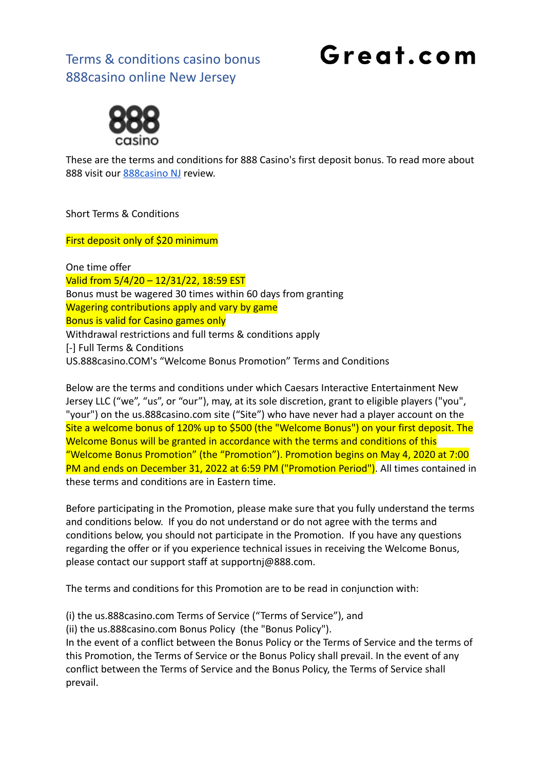## Great.com



These are the terms and conditions for 888 Casino's first deposit bonus. To read more about 888 visit our **888 casino NJ** review.

Short Terms & Conditions

First deposit only of \$20 minimum

One time offer Valid from 5/4/20 – 12/31/22, 18:59 EST Bonus must be wagered 30 times within 60 days from granting Wagering contributions apply and vary by game Bonus is valid for Casino games only Withdrawal restrictions and full terms & conditions apply [-] Full Terms & Conditions US.888casino.COM's "Welcome Bonus Promotion" Terms and Conditions

Below are the terms and conditions under which Caesars Interactive Entertainment New Jersey LLC ("we", "us", or "our"), may, at its sole discretion, grant to eligible players ("you", "your") on the us.888casino.com site ("Site") who have never had a player account on the Site a welcome bonus of 120% up to \$500 (the "Welcome Bonus") on your first deposit. The Welcome Bonus will be granted in accordance with the terms and conditions of this "Welcome Bonus Promotion" (the "Promotion"). Promotion begins on May 4, 2020 at 7:00 PM and ends on December 31, 2022 at 6:59 PM ("Promotion Period"). All times contained in these terms and conditions are in Eastern time.

Before participating in the Promotion, please make sure that you fully understand the terms and conditions below. If you do not understand or do not agree with the terms and conditions below, you should not participate in the Promotion. If you have any questions regarding the offer or if you experience technical issues in receiving the Welcome Bonus, please contact our support staff at supportnj@888.com.

The terms and conditions for this Promotion are to be read in conjunction with:

(i) the us.888casino.com Terms of Service ("Terms of Service"), and

(ii) the us.888casino.com Bonus Policy (the "Bonus Policy").

In the event of a conflict between the Bonus Policy or the Terms of Service and the terms of this Promotion, the Terms of Service or the Bonus Policy shall prevail. In the event of any conflict between the Terms of Service and the Bonus Policy, the Terms of Service shall prevail.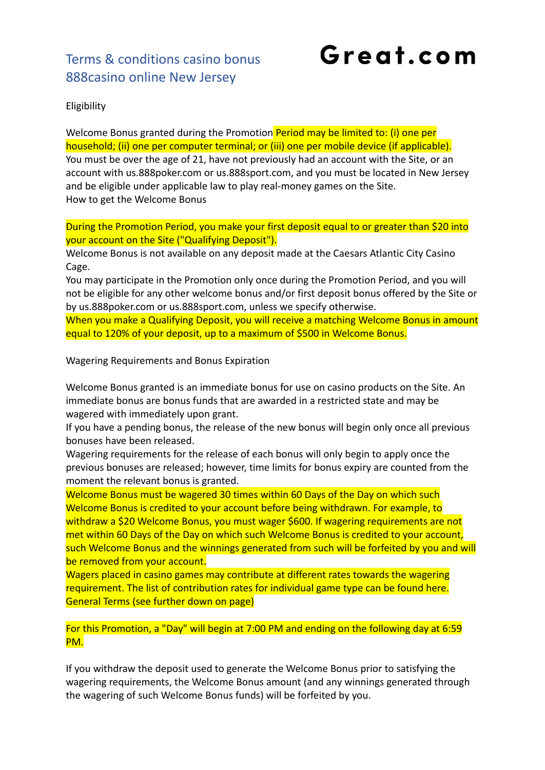Great.com

Eligibility

Welcome Bonus granted during the Promotion Period may be limited to: (i) one per household; (ii) one per computer terminal; or (iii) one per mobile device (if applicable). You must be over the age of 21, have not previously had an account with the Site, or an account with us.888poker.com or us.888sport.com, and you must be located in New Jersey and be eligible under applicable law to play real-money games on the Site. How to get the Welcome Bonus

During the Promotion Period, you make your first deposit equal to or greater than \$20 into your account on the Site ("Qualifying Deposit").

Welcome Bonus is not available on any deposit made at the Caesars Atlantic City Casino Cage.

You may participate in the Promotion only once during the Promotion Period, and you will not be eligible for any other welcome bonus and/or first deposit bonus offered by the Site or by us.888poker.com or us.888sport.com, unless we specify otherwise.

When you make a Qualifying Deposit, you will receive a matching Welcome Bonus in amount equal to 120% of your deposit, up to a maximum of \$500 in Welcome Bonus.

Wagering Requirements and Bonus Expiration

Welcome Bonus granted is an immediate bonus for use on casino products on the Site. An immediate bonus are bonus funds that are awarded in a restricted state and may be wagered with immediately upon grant.

If you have a pending bonus, the release of the new bonus will begin only once all previous bonuses have been released.

Wagering requirements for the release of each bonus will only begin to apply once the previous bonuses are released; however, time limits for bonus expiry are counted from the moment the relevant bonus is granted.

Welcome Bonus must be wagered 30 times within 60 Days of the Day on which such Welcome Bonus is credited to your account before being withdrawn. For example, to withdraw a \$20 Welcome Bonus, you must wager \$600. If wagering requirements are not met within 60 Days of the Day on which such Welcome Bonus is credited to your account, such Welcome Bonus and the winnings generated from such will be forfeited by you and will be removed from your account.

Wagers placed in casino games may contribute at different rates towards the wagering requirement. The list of contribution rates for individual game type can be found here. General Terms (see further down on page)

For this Promotion, a "Day" will begin at 7:00 PM and ending on the following day at 6:59 PM.

If you withdraw the deposit used to generate the Welcome Bonus prior to satisfying the wagering requirements, the Welcome Bonus amount (and any winnings generated through the wagering of such Welcome Bonus funds) will be forfeited by you.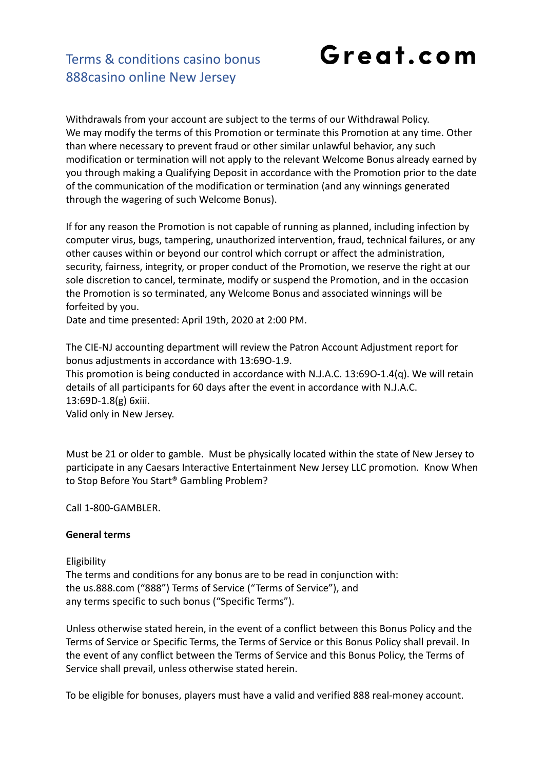Great.com

#### Terms & conditions casino bonus 888casino online New Jersey

Withdrawals from your account are subject to the terms of our Withdrawal Policy. We may modify the terms of this Promotion or terminate this Promotion at any time. Other than where necessary to prevent fraud or other similar unlawful behavior, any such modification or termination will not apply to the relevant Welcome Bonus already earned by you through making a Qualifying Deposit in accordance with the Promotion prior to the date of the communication of the modification or termination (and any winnings generated through the wagering of such Welcome Bonus).

If for any reason the Promotion is not capable of running as planned, including infection by computer virus, bugs, tampering, unauthorized intervention, fraud, technical failures, or any other causes within or beyond our control which corrupt or affect the administration, security, fairness, integrity, or proper conduct of the Promotion, we reserve the right at our sole discretion to cancel, terminate, modify or suspend the Promotion, and in the occasion the Promotion is so terminated, any Welcome Bonus and associated winnings will be forfeited by you.

Date and time presented: April 19th, 2020 at 2:00 PM.

The CIE-NJ accounting department will review the Patron Account Adjustment report for bonus adjustments in accordance with 13:69O-1.9.

This promotion is being conducted in accordance with N.J.A.C. 13:69O-1.4(q). We will retain details of all participants for 60 days after the event in accordance with N.J.A.C. 13:69D-1.8(g) 6xiii.

Valid only in New Jersey.

Must be 21 or older to gamble. Must be physically located within the state of New Jersey to participate in any Caesars Interactive Entertainment New Jersey LLC promotion. Know When to Stop Before You Start® Gambling Problem?

Call 1-800-GAMBLER.

#### **General terms**

#### Eligibility

The terms and conditions for any bonus are to be read in conjunction with: the us.888.com ("888") Terms of Service ("Terms of Service"), and any terms specific to such bonus ("Specific Terms").

Unless otherwise stated herein, in the event of a conflict between this Bonus Policy and the Terms of Service or Specific Terms, the Terms of Service or this Bonus Policy shall prevail. In the event of any conflict between the Terms of Service and this Bonus Policy, the Terms of Service shall prevail, unless otherwise stated herein.

To be eligible for bonuses, players must have a valid and verified 888 real-money account.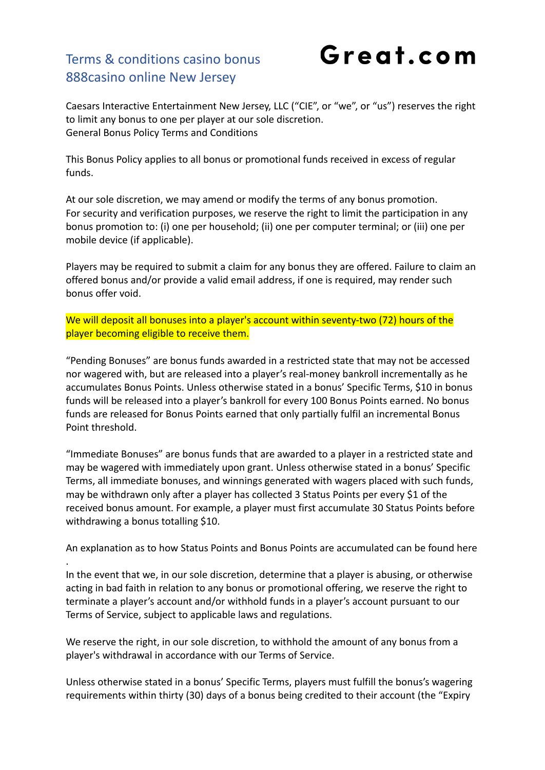## Great.com

Caesars Interactive Entertainment New Jersey, LLC ("CIE", or "we", or "us") reserves the right to limit any bonus to one per player at our sole discretion. General Bonus Policy Terms and Conditions

This Bonus Policy applies to all bonus or promotional funds received in excess of regular funds.

At our sole discretion, we may amend or modify the terms of any bonus promotion. For security and verification purposes, we reserve the right to limit the participation in any bonus promotion to: (i) one per household; (ii) one per computer terminal; or (iii) one per mobile device (if applicable).

Players may be required to submit a claim for any bonus they are offered. Failure to claim an offered bonus and/or provide a valid email address, if one is required, may render such bonus offer void.

We will deposit all bonuses into a player's account within seventy-two (72) hours of the player becoming eligible to receive them.

"Pending Bonuses" are bonus funds awarded in a restricted state that may not be accessed nor wagered with, but are released into a player's real-money bankroll incrementally as he accumulates Bonus Points. Unless otherwise stated in a bonus' Specific Terms, \$10 in bonus funds will be released into a player's bankroll for every 100 Bonus Points earned. No bonus funds are released for Bonus Points earned that only partially fulfil an incremental Bonus Point threshold.

"Immediate Bonuses" are bonus funds that are awarded to a player in a restricted state and may be wagered with immediately upon grant. Unless otherwise stated in a bonus' Specific Terms, all immediate bonuses, and winnings generated with wagers placed with such funds, may be withdrawn only after a player has collected 3 Status Points per every \$1 of the received bonus amount. For example, a player must first accumulate 30 Status Points before withdrawing a bonus totalling \$10.

An explanation as to how Status Points and Bonus Points are accumulated can be found here .

In the event that we, in our sole discretion, determine that a player is abusing, or otherwise acting in bad faith in relation to any bonus or promotional offering, we reserve the right to terminate a player's account and/or withhold funds in a player's account pursuant to our Terms of Service, subject to applicable laws and regulations.

We reserve the right, in our sole discretion, to withhold the amount of any bonus from a player's withdrawal in accordance with our Terms of Service.

Unless otherwise stated in a bonus' Specific Terms, players must fulfill the bonus's wagering requirements within thirty (30) days of a bonus being credited to their account (the "Expiry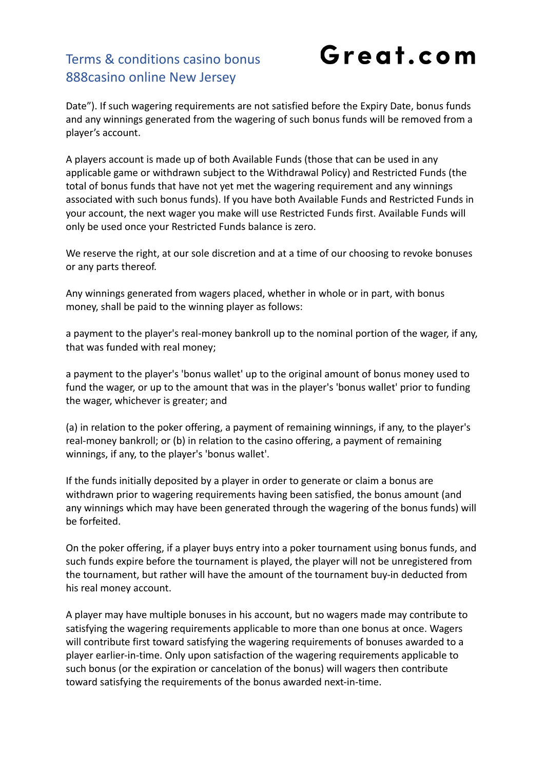## Great.com

Date"). If such wagering requirements are not satisfied before the Expiry Date, bonus funds and any winnings generated from the wagering of such bonus funds will be removed from a player's account.

A players account is made up of both Available Funds (those that can be used in any applicable game or withdrawn subject to the Withdrawal Policy) and Restricted Funds (the total of bonus funds that have not yet met the wagering requirement and any winnings associated with such bonus funds). If you have both Available Funds and Restricted Funds in your account, the next wager you make will use Restricted Funds first. Available Funds will only be used once your Restricted Funds balance is zero.

We reserve the right, at our sole discretion and at a time of our choosing to revoke bonuses or any parts thereof.

Any winnings generated from wagers placed, whether in whole or in part, with bonus money, shall be paid to the winning player as follows:

a payment to the player's real-money bankroll up to the nominal portion of the wager, if any, that was funded with real money;

a payment to the player's 'bonus wallet' up to the original amount of bonus money used to fund the wager, or up to the amount that was in the player's 'bonus wallet' prior to funding the wager, whichever is greater; and

(a) in relation to the poker offering, a payment of remaining winnings, if any, to the player's real-money bankroll; or (b) in relation to the casino offering, a payment of remaining winnings, if any, to the player's 'bonus wallet'.

If the funds initially deposited by a player in order to generate or claim a bonus are withdrawn prior to wagering requirements having been satisfied, the bonus amount (and any winnings which may have been generated through the wagering of the bonus funds) will be forfeited.

On the poker offering, if a player buys entry into a poker tournament using bonus funds, and such funds expire before the tournament is played, the player will not be unregistered from the tournament, but rather will have the amount of the tournament buy-in deducted from his real money account.

A player may have multiple bonuses in his account, but no wagers made may contribute to satisfying the wagering requirements applicable to more than one bonus at once. Wagers will contribute first toward satisfying the wagering requirements of bonuses awarded to a player earlier-in-time. Only upon satisfaction of the wagering requirements applicable to such bonus (or the expiration or cancelation of the bonus) will wagers then contribute toward satisfying the requirements of the bonus awarded next-in-time.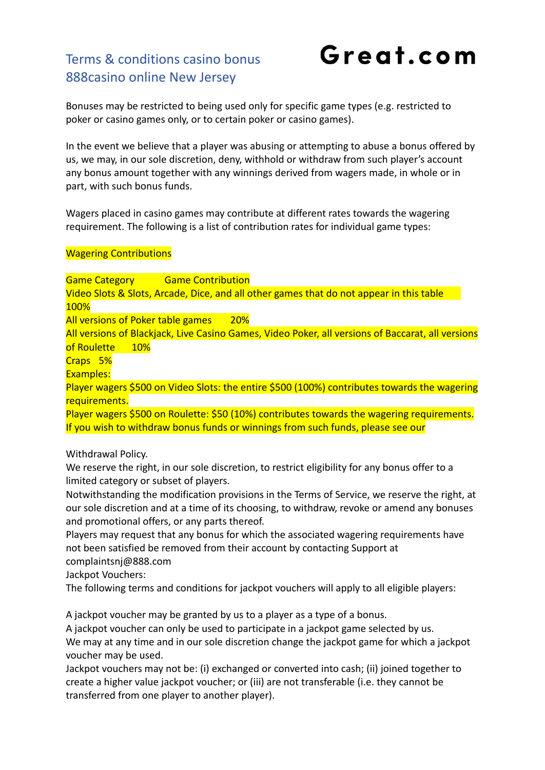Great.com

Bonuses may be restricted to being used only for specific game types (e.g. restricted to poker or casino games only, or to certain poker or casino games).

In the event we believe that a player was abusing or attempting to abuse a bonus offered by us, we may, in our sole discretion, deny, withhold or withdraw from such player's account any bonus amount together with any winnings derived from wagers made, in whole or in part, with such bonus funds.

Wagers placed in casino games may contribute at different rates towards the wagering requirement. The following is a list of contribution rates for individual game types:

#### Wagering Contributions

Game Category Game Contribution Video Slots & Slots, Arcade, Dice, and all other games that do not appear in this table 100% All versions of Poker table games 20% All versions of Blackjack, Live Casino Games, Video Poker, all versions of Baccarat, all versions of Roulette 10% Craps 5% Examples: Player wagers \$500 on Video Slots: the entire \$500 (100%) contributes towards the wagering requirements. Player wagers \$500 on Roulette: \$50 (10%) contributes towards the wagering requirements. If you wish to withdraw bonus funds or winnings from such funds, please see our

Withdrawal Policy.

We reserve the right, in our sole discretion, to restrict eligibility for any bonus offer to a limited category or subset of players.

Notwithstanding the modification provisions in the Terms of Service, we reserve the right, at our sole discretion and at a time of its choosing, to withdraw, revoke or amend any bonuses and promotional offers, or any parts thereof.

Players may request that any bonus for which the associated wagering requirements have not been satisfied be removed from their account by contacting Support at complaintsnj@888.com

Jackpot Vouchers:

The following terms and conditions for jackpot vouchers will apply to all eligible players:

A jackpot voucher may be granted by us to a player as a type of a bonus.

A jackpot voucher can only be used to participate in a jackpot game selected by us. We may at any time and in our sole discretion change the jackpot game for which a jackpot voucher may be used.

Jackpot vouchers may not be: (i) exchanged or converted into cash; (ii) joined together to create a higher value jackpot voucher; or (iii) are not transferable (i.e. they cannot be transferred from one player to another player).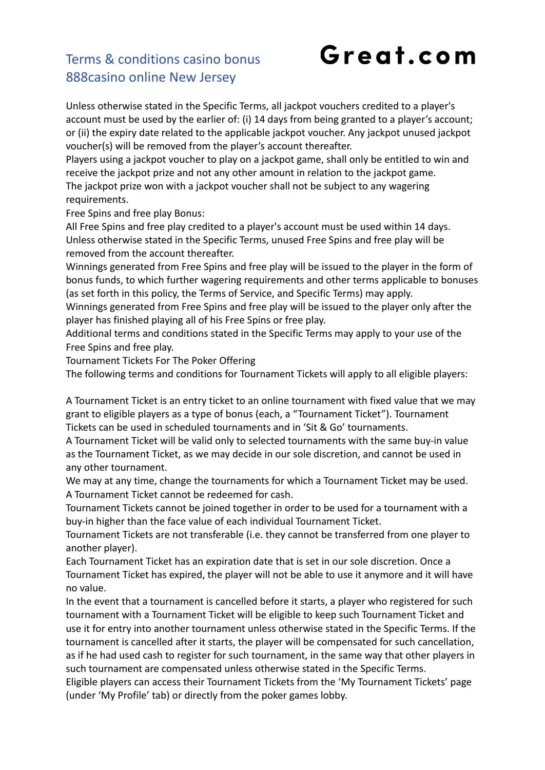## Great.com

#### Terms & conditions casino bonus 888casino online New Jersey

Unless otherwise stated in the Specific Terms, all jackpot vouchers credited to a player's account must be used by the earlier of: (i) 14 days from being granted to a player's account; or (ii) the expiry date related to the applicable jackpot voucher. Any jackpot unused jackpot voucher(s) will be removed from the player's account thereafter.

Players using a jackpot voucher to play on a jackpot game, shall only be entitled to win and receive the jackpot prize and not any other amount in relation to the jackpot game. The jackpot prize won with a jackpot voucher shall not be subject to any wagering requirements.

Free Spins and free play Bonus:

All Free Spins and free play credited to a player's account must be used within 14 days. Unless otherwise stated in the Specific Terms, unused Free Spins and free play will be removed from the account thereafter.

Winnings generated from Free Spins and free play will be issued to the player in the form of bonus funds, to which further wagering requirements and other terms applicable to bonuses (as set forth in this policy, the Terms of Service, and Specific Terms) may apply.

Winnings generated from Free Spins and free play will be issued to the player only after the player has finished playing all of his Free Spins or free play.

Additional terms and conditions stated in the Specific Terms may apply to your use of the Free Spins and free play.

Tournament Tickets For The Poker Offering

The following terms and conditions for Tournament Tickets will apply to all eligible players:

A Tournament Ticket is an entry ticket to an online tournament with fixed value that we may grant to eligible players as a type of bonus (each, a "Tournament Ticket"). Tournament Tickets can be used in scheduled tournaments and in 'Sit & Go' tournaments.

A Tournament Ticket will be valid only to selected tournaments with the same buy-in value as the Tournament Ticket, as we may decide in our sole discretion, and cannot be used in any other tournament.

We may at any time, change the tournaments for which a Tournament Ticket may be used. A Tournament Ticket cannot be redeemed for cash.

Tournament Tickets cannot be joined together in order to be used for a tournament with a buy-in higher than the face value of each individual Tournament Ticket.

Tournament Tickets are not transferable (i.e. they cannot be transferred from one player to another player).

Each Tournament Ticket has an expiration date that is set in our sole discretion. Once a Tournament Ticket has expired, the player will not be able to use it anymore and it will have no value.

In the event that a tournament is cancelled before it starts, a player who registered for such tournament with a Tournament Ticket will be eligible to keep such Tournament Ticket and use it for entry into another tournament unless otherwise stated in the Specific Terms. If the tournament is cancelled after it starts, the player will be compensated for such cancellation, as if he had used cash to register for such tournament, in the same way that other players in such tournament are compensated unless otherwise stated in the Specific Terms.

Eligible players can access their Tournament Tickets from the 'My Tournament Tickets' page (under 'My Profile' tab) or directly from the poker games lobby.